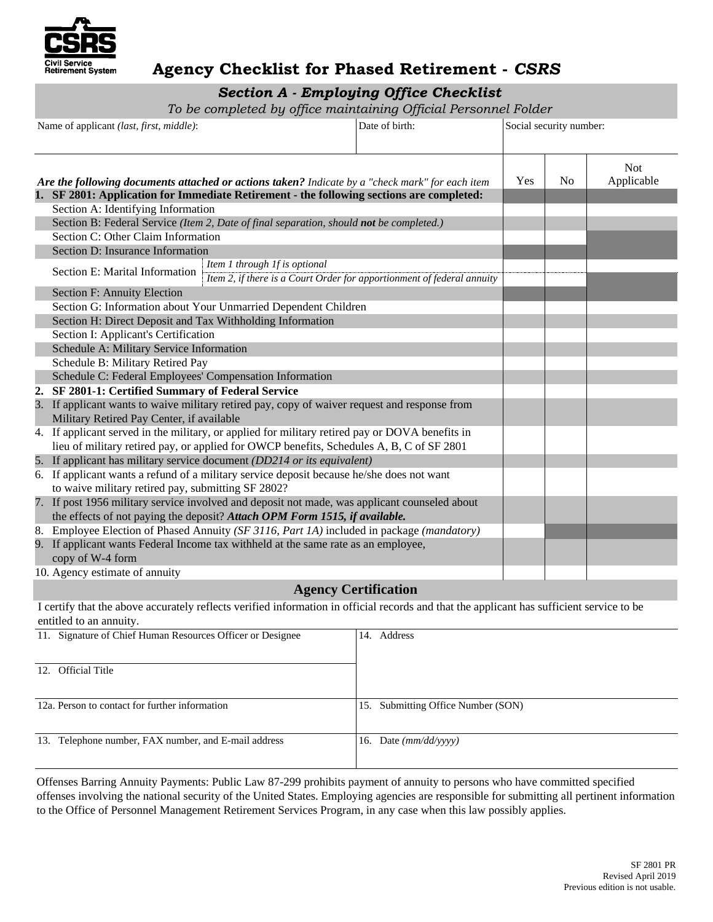

### **Agency Checklist for Phased Retirement -** *CSRS*

## *Section A - Employing Office Checklist*

*To be completed by office maintaining Official Personnel Folder* 

| Name of applicant (last, first, middle):                                                                                                                                                    | Date of birth: | Social security number: |                |                          |
|---------------------------------------------------------------------------------------------------------------------------------------------------------------------------------------------|----------------|-------------------------|----------------|--------------------------|
| Are the following documents attached or actions taken? Indicate by a "check mark" for each item                                                                                             |                | Yes                     | N <sub>0</sub> | <b>Not</b><br>Applicable |
| 1. SF 2801: Application for Immediate Retirement - the following sections are completed:<br>Section A: Identifying Information                                                              |                |                         |                |                          |
| Section B: Federal Service (Item 2, Date of final separation, should not be completed.)                                                                                                     |                |                         |                |                          |
| Section C: Other Claim Information                                                                                                                                                          |                |                         |                |                          |
| Section D: Insurance Information                                                                                                                                                            |                |                         |                |                          |
| Item 1 through If is optional<br>Section E: Marital Information<br>Item 2, if there is a Court Order for apportionment of federal annuity                                                   |                |                         |                |                          |
| Section F: Annuity Election                                                                                                                                                                 |                |                         |                |                          |
| Section G: Information about Your Unmarried Dependent Children                                                                                                                              |                |                         |                |                          |
| Section H: Direct Deposit and Tax Withholding Information                                                                                                                                   |                |                         |                |                          |
| Section I: Applicant's Certification                                                                                                                                                        |                |                         |                |                          |
| Schedule A: Military Service Information                                                                                                                                                    |                |                         |                |                          |
| Schedule B: Military Retired Pay                                                                                                                                                            |                |                         |                |                          |
| Schedule C: Federal Employees' Compensation Information                                                                                                                                     |                |                         |                |                          |
| 2. SF 2801-1: Certified Summary of Federal Service                                                                                                                                          |                |                         |                |                          |
| 3. If applicant wants to waive military retired pay, copy of waiver request and response from<br>Military Retired Pay Center, if available                                                  |                |                         |                |                          |
| 4. If applicant served in the military, or applied for military retired pay or DOVA benefits in<br>lieu of military retired pay, or applied for OWCP benefits, Schedules A, B, C of SF 2801 |                |                         |                |                          |
| 5. If applicant has military service document (DD214 or its equivalent)                                                                                                                     |                |                         |                |                          |
| 6. If applicant wants a refund of a military service deposit because he/she does not want<br>to waive military retired pay, submitting SF 2802?                                             |                |                         |                |                          |
| 7. If post 1956 military service involved and deposit not made, was applicant counseled about<br>the effects of not paying the deposit? Attach OPM Form 1515, if available.                 |                |                         |                |                          |
| 8. Employee Election of Phased Annuity (SF 3116, Part 1A) included in package (mandatory)                                                                                                   |                |                         |                |                          |
| 9. If applicant wants Federal Income tax withheld at the same rate as an employee,<br>copy of W-4 form                                                                                      |                |                         |                |                          |
| 10. Agency estimate of annuity                                                                                                                                                              |                |                         |                |                          |

#### **Agency Certification**

I certify that the above accurately reflects verified information in official records and that the applicant has sufficient service to be entitled to an annuity.

| 11. Signature of Chief Human Resources Officer or Designee | Address<br>14.                     |
|------------------------------------------------------------|------------------------------------|
| 12. Official Title                                         |                                    |
| 12a. Person to contact for further information             | 15. Submitting Office Number (SON) |
| 13. Telephone number, FAX number, and E-mail address       | 16. Date $(mm/dd/vyyy)$            |

 to the Office of Personnel Management Retirement Services Program, in any case when this law possibly applies. Offenses Barring Annuity Payments: Public Law 87-299 prohibits payment of annuity to persons who have committed specified offenses involving the national security of the United States. Employing agencies are responsible for submitting all pertinent information